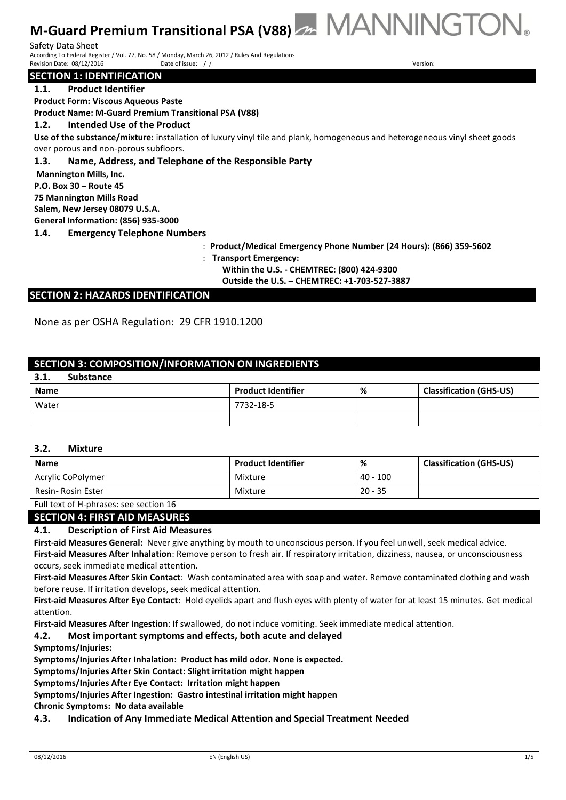Safety Data Sheet **Sheet** Sheet **Sheet** Sheet Sheet Sheet Sheet Sheet Sheet Sheet Sheet Sheet Sheet Sheet Sheet Sheet Sheet Sheet Sheet Sheet Sheet Sheet Sheet Sheet Sheet Sheet Sheet Sheet Sheet Sheet Sheet Sheet Sheet Sh According To Federal Register / Vol. 77, No. 58 / Monday, March 26, 2012 / Rules And Regulations<br>Revision Date: 08/12/2016 <br>Date of issue: / / Revision Date: 08/12/2016 Date of issue: // Version: 08/22/2016 Version: 08/22/2016

#### **SECTION 1: IDENTIFICATION**

**1.1. Product Identifier**

**Product Form: Viscous Aqueous Paste**

**Product Name: M-Guard Premium Transitional PSA (V88)**

#### **1.2. Intended Use of the Product**

**Use of the substance/mixture:** installation of luxury vinyl tile and plank, homogeneous and heterogeneous vinyl sheet goods over porous and non-porous subfloors.

#### **1.3. Name, Address, and Telephone of the Responsible Party**

**Mannington Mills, Inc.**

**P.O. Box 30 – Route 45**

**75 Mannington Mills Road**

**Salem, New Jersey 08079 U.S.A.**

**General Information: (856) 935-3000**

**1.4. Emergency Telephone Numbers**

- : **Product/Medical Emergency Phone Number (24 Hours): (866) 359-5602**
- : **Transport Emergency:**

**Within the U.S. - CHEMTREC: (800) 424-9300** 

**Outside the U.S. – CHEMTREC: +1-703-527-3887**

#### **SECTION 2: HAZARDS IDENTIFICATION**

None as per OSHA Regulation: 29 CFR 1910.1200

## **SECTION 3: COMPOSITION/INFORMATION ON INGREDIENTS**

## **3.1. Substance**

| <b>Name</b> | <b>Product Identifier</b> | % | <b>Classification (GHS-US)</b> |
|-------------|---------------------------|---|--------------------------------|
| Water       | 7732-18-5                 |   |                                |
|             |                           |   |                                |

#### **3.2. Mixture**

| <b>Name</b>        | <b>Product Identifier</b> | %          | <b>Classification (GHS-US)</b> |
|--------------------|---------------------------|------------|--------------------------------|
| Acrylic CoPolymer  | Mixture                   | $40 - 100$ |                                |
| Resin- Rosin Ester | Mixture                   | $20 - 35$  |                                |
| _  _ _ _ _<br>.    |                           |            |                                |

Full text of H-phrases: see section 16

#### **SECTION 4: FIRST AID MEASURES**

#### **4.1. Description of First Aid Measures**

**First-aid Measures General:** Never give anything by mouth to unconscious person. If you feel unwell, seek medical advice. **First-aid Measures After Inhalation**: Remove person to fresh air. If respiratory irritation, dizziness, nausea, or unconsciousness occurs, seek immediate medical attention.

**First-aid Measures After Skin Contact**: Wash contaminated area with soap and water. Remove contaminated clothing and wash before reuse. If irritation develops, seek medical attention.

**First-aid Measures After Eye Contact**: Hold eyelids apart and flush eyes with plenty of water for at least 15 minutes. Get medical attention.

**First-aid Measures After Ingestion**: If swallowed, do not induce vomiting. Seek immediate medical attention.

## **4.2. Most important symptoms and effects, both acute and delayed**

**Symptoms/Injuries:** 

**Symptoms/Injuries After Inhalation: Product has mild odor. None is expected.**

**Symptoms/Injuries After Skin Contact: Slight irritation might happen**

**Symptoms/Injuries After Eye Contact: Irritation might happen**

**Symptoms/Injuries After Ingestion: Gastro intestinal irritation might happen**

**Chronic Symptoms: No data available**

#### **4.3. Indication of Any Immediate Medical Attention and Special Treatment Needed**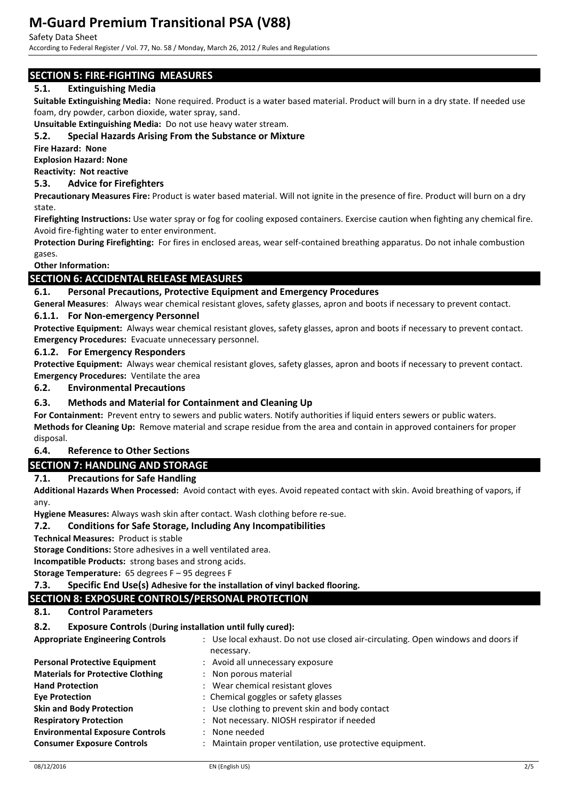#### Safety Data Sheet

According to Federal Register / Vol. 77, No. 58 / Monday, March 26, 2012 / Rules and Regulations

## **SECTION 5: FIRE-FIGHTING MEASURES**

## **5.1. Extinguishing Media**

**Suitable Extinguishing Media:** None required. Product is a water based material. Product will burn in a dry state. If needed use foam, dry powder, carbon dioxide, water spray, sand.

**Unsuitable Extinguishing Media:** Do not use heavy water stream.

## **5.2. Special Hazards Arising From the Substance or Mixture**

**Fire Hazard: None**

**Explosion Hazard: None**

**Reactivity: Not reactive**

#### **5.3. Advice for Firefighters**

**Precautionary Measures Fire:** Product is water based material. Will not ignite in the presence of fire. Product will burn on a dry state.

**Firefighting Instructions:** Use water spray or fog for cooling exposed containers. Exercise caution when fighting any chemical fire. Avoid fire-fighting water to enter environment.

**Protection During Firefighting:** For fires in enclosed areas, wear self-contained breathing apparatus. Do not inhale combustion gases.

## **Other Information:**

## **SECTION 6: ACCIDENTAL RELEASE MEASURES**

#### **6.1. Personal Precautions, Protective Equipment and Emergency Procedures**

**General Measures**: Always wear chemical resistant gloves, safety glasses, apron and boots if necessary to prevent contact. **6.1.1. For Non-emergency Personnel**

**Protective Equipment:** Always wear chemical resistant gloves, safety glasses, apron and boots if necessary to prevent contact. **Emergency Procedures:** Evacuate unnecessary personnel.

#### **6.1.2. For Emergency Responders**

**Protective Equipment:** Always wear chemical resistant gloves, safety glasses, apron and boots if necessary to prevent contact. **Emergency Procedures:** Ventilate the area

**6.2. Environmental Precautions**

## **6.3. Methods and Material for Containment and Cleaning Up**

**For Containment:** Prevent entry to sewers and public waters. Notify authorities if liquid enters sewers or public waters. **Methods for Cleaning Up:** Remove material and scrape residue from the area and contain in approved containers for proper disposal.

## **6.4. Reference to Other Sections**

## **SECTION 7: HANDLING AND STORAGE**

## **7.1. Precautions for Safe Handling**

**Additional Hazards When Processed:** Avoid contact with eyes. Avoid repeated contact with skin. Avoid breathing of vapors, if any.

**Hygiene Measures:** Always wash skin after contact. Wash clothing before re-sue.

#### **7.2. Conditions for Safe Storage, Including Any Incompatibilities**

**Technical Measures:** Product is stable

**Storage Conditions:** Store adhesives in a well ventilated area.

**Incompatible Products:** strong bases and strong acids.

**Storage Temperature:** 65 degrees F – 95 degrees F

**7.3. Specific End Use(s) Adhesive for the installation of vinyl backed flooring.** 

## **SECTION 8: EXPOSURE CONTROLS/PERSONAL PROTECTION**

**8.1. Control Parameters**

## **8.2. Exposure Controls** (**During installation until fully cured):**

| <b>Appropriate Engineering Controls</b>  | : Use local exhaust. Do not use closed air-circulating. Open windows and doors if<br>necessary. |
|------------------------------------------|-------------------------------------------------------------------------------------------------|
| <b>Personal Protective Equipment</b>     | : Avoid all unnecessary exposure                                                                |
| <b>Materials for Protective Clothing</b> | : Non porous material                                                                           |
| <b>Hand Protection</b>                   | : Wear chemical resistant gloves                                                                |
| <b>Eve Protection</b>                    | : Chemical goggles or safety glasses                                                            |
| <b>Skin and Body Protection</b>          | : Use clothing to prevent skin and body contact                                                 |
| <b>Respiratory Protection</b>            | : Not necessary. NIOSH respirator if needed                                                     |
| <b>Environmental Exposure Controls</b>   | : None needed                                                                                   |
| <b>Consumer Exposure Controls</b>        | : Maintain proper ventilation, use protective equipment.                                        |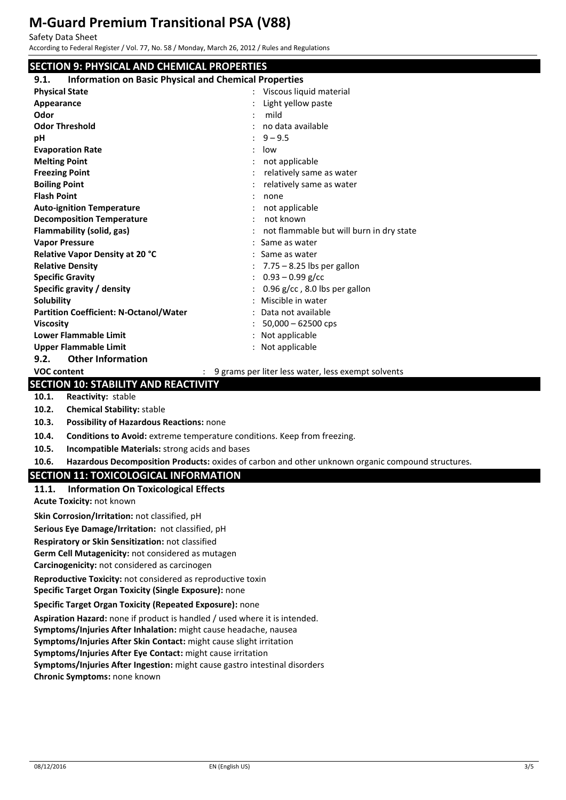| Safety Data Sheet<br>According to Federal Register / Vol. 77, No. 58 / Monday, March 26, 2012 / Rules and Regulations |                                                                                                   |  |  |  |
|-----------------------------------------------------------------------------------------------------------------------|---------------------------------------------------------------------------------------------------|--|--|--|
| <b>SECTION 9: PHYSICAL AND CHEMICAL PROPERTIES</b>                                                                    |                                                                                                   |  |  |  |
| <b>Information on Basic Physical and Chemical Properties</b><br>9.1.                                                  |                                                                                                   |  |  |  |
| <b>Physical State</b>                                                                                                 | Viscous liquid material                                                                           |  |  |  |
| Appearance                                                                                                            | Light yellow paste                                                                                |  |  |  |
| Odor                                                                                                                  | mild                                                                                              |  |  |  |
| <b>Odor Threshold</b>                                                                                                 | no data available                                                                                 |  |  |  |
| рH                                                                                                                    | $9 - 9.5$                                                                                         |  |  |  |
| <b>Evaporation Rate</b>                                                                                               | low                                                                                               |  |  |  |
| <b>Melting Point</b>                                                                                                  | not applicable                                                                                    |  |  |  |
| <b>Freezing Point</b>                                                                                                 | relatively same as water                                                                          |  |  |  |
| <b>Boiling Point</b>                                                                                                  | relatively same as water                                                                          |  |  |  |
| <b>Flash Point</b>                                                                                                    | none                                                                                              |  |  |  |
| <b>Auto-ignition Temperature</b>                                                                                      | not applicable                                                                                    |  |  |  |
| <b>Decomposition Temperature</b>                                                                                      | not known                                                                                         |  |  |  |
| <b>Flammability (solid, gas)</b>                                                                                      | not flammable but will burn in dry state                                                          |  |  |  |
| <b>Vapor Pressure</b>                                                                                                 | Same as water                                                                                     |  |  |  |
| Relative Vapor Density at 20 °C                                                                                       | Same as water                                                                                     |  |  |  |
| <b>Relative Density</b>                                                                                               | $7.75 - 8.25$ lbs per gallon                                                                      |  |  |  |
| <b>Specific Gravity</b>                                                                                               | $0.93 - 0.99$ g/cc                                                                                |  |  |  |
| Specific gravity / density                                                                                            | 0.96 g/cc, 8.0 lbs per gallon                                                                     |  |  |  |
| Solubility                                                                                                            | Miscible in water                                                                                 |  |  |  |
| <b>Partition Coefficient: N-Octanol/Water</b><br><b>Viscosity</b>                                                     | Data not available                                                                                |  |  |  |
| <b>Lower Flammable Limit</b>                                                                                          | $50,000 - 62500$ cps<br>Not applicable                                                            |  |  |  |
| <b>Upper Flammable Limit</b>                                                                                          | : Not applicable                                                                                  |  |  |  |
| 9.2.<br><b>Other Information</b>                                                                                      |                                                                                                   |  |  |  |
| <b>VOC content</b>                                                                                                    | : 9 grams per liter less water, less exempt solvents                                              |  |  |  |
| <b>SECTION 10: STABILITY AND REACTIVITY</b>                                                                           |                                                                                                   |  |  |  |
| Reactivity: stable<br>10.1.                                                                                           |                                                                                                   |  |  |  |
| 10.2.<br><b>Chemical Stability: stable</b>                                                                            |                                                                                                   |  |  |  |
| 10.3.<br>Possibility of Hazardous Reactions: none                                                                     |                                                                                                   |  |  |  |
|                                                                                                                       |                                                                                                   |  |  |  |
| 10.4.<br>Conditions to Avoid: extreme temperature conditions. Keep from freezing.                                     |                                                                                                   |  |  |  |
| Incompatible Materials: strong acids and bases<br>10.5.                                                               |                                                                                                   |  |  |  |
| 10.6.                                                                                                                 | Hazardous Decomposition Products: oxides of carbon and other unknown organic compound structures. |  |  |  |
| <b>SECTION 11: TOXICOLOGICAL INFORMATION</b>                                                                          |                                                                                                   |  |  |  |
| <b>Information On Toxicological Effects</b><br>11.1.                                                                  |                                                                                                   |  |  |  |
| Acute Toxicity: not known                                                                                             |                                                                                                   |  |  |  |
| Skin Corrosion/Irritation: not classified, pH                                                                         |                                                                                                   |  |  |  |
| Serious Eye Damage/Irritation: not classified, pH                                                                     |                                                                                                   |  |  |  |
| Respiratory or Skin Sensitization: not classified                                                                     |                                                                                                   |  |  |  |
| Germ Cell Mutagenicity: not considered as mutagen                                                                     |                                                                                                   |  |  |  |
| Carcinogenicity: not considered as carcinogen                                                                         |                                                                                                   |  |  |  |
| Reproductive Toxicity: not considered as reproductive toxin                                                           |                                                                                                   |  |  |  |
| Specific Target Organ Toxicity (Single Exposure): none                                                                |                                                                                                   |  |  |  |
| Specific Target Organ Toxicity (Repeated Exposure): none                                                              |                                                                                                   |  |  |  |

**Aspiration Hazard:** none if product is handled / used where it is intended. **Symptoms/Injuries After Inhalation:** might cause headache, nausea **Symptoms/Injuries After Skin Contact:** might cause slight irritation **Symptoms/Injuries After Eye Contact:** might cause irritation **Symptoms/Injuries After Ingestion:** might cause gastro intestinal disorders **Chronic Symptoms:** none known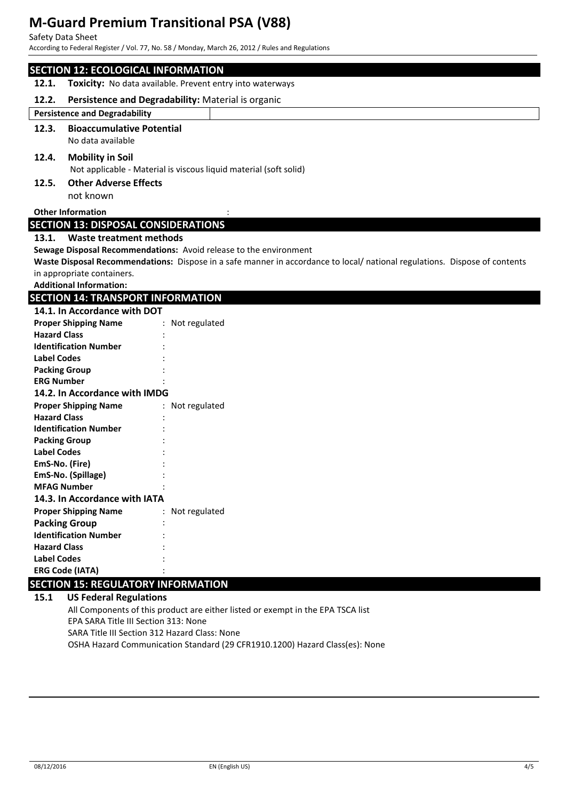Safety Data Sheet

According to Federal Register / Vol. 77, No. 58 / Monday, March 26, 2012 / Rules and Regulations

|                                            | <b>SECTION 12: ECOLOGICAL INFORMATION</b>                                                                                 |  |  |  |
|--------------------------------------------|---------------------------------------------------------------------------------------------------------------------------|--|--|--|
| 12.1.                                      | Toxicity: No data available. Prevent entry into waterways                                                                 |  |  |  |
| 12.2.                                      | Persistence and Degradability: Material is organic                                                                        |  |  |  |
|                                            | <b>Persistence and Degradability</b>                                                                                      |  |  |  |
| 12.3.                                      | <b>Bioaccumulative Potential</b>                                                                                          |  |  |  |
|                                            | No data available                                                                                                         |  |  |  |
| 12.4.                                      | <b>Mobility in Soil</b><br>Not applicable - Material is viscous liquid material (soft solid)                              |  |  |  |
| 12.5.                                      | <b>Other Adverse Effects</b>                                                                                              |  |  |  |
|                                            | not known                                                                                                                 |  |  |  |
|                                            | <b>Other Information</b>                                                                                                  |  |  |  |
|                                            | <b>SECTION 13: DISPOSAL CONSIDERATIONS</b>                                                                                |  |  |  |
|                                            | 13.1. Waste treatment methods                                                                                             |  |  |  |
|                                            | Sewage Disposal Recommendations: Avoid release to the environment                                                         |  |  |  |
|                                            | Waste Disposal Recommendations: Dispose in a safe manner in accordance to local/national regulations. Dispose of contents |  |  |  |
|                                            | in appropriate containers.                                                                                                |  |  |  |
|                                            | <b>Additional Information:</b>                                                                                            |  |  |  |
|                                            | <b>SECTION 14: TRANSPORT INFORMATION</b>                                                                                  |  |  |  |
|                                            | 14.1. In Accordance with DOT                                                                                              |  |  |  |
|                                            | <b>Proper Shipping Name</b><br>: Not regulated                                                                            |  |  |  |
| <b>Hazard Class</b>                        |                                                                                                                           |  |  |  |
|                                            | <b>Identification Number</b>                                                                                              |  |  |  |
| <b>Label Codes</b>                         |                                                                                                                           |  |  |  |
| <b>Packing Group</b>                       |                                                                                                                           |  |  |  |
| <b>ERG Number</b>                          |                                                                                                                           |  |  |  |
|                                            | 14.2. In Accordance with IMDG                                                                                             |  |  |  |
|                                            | <b>Proper Shipping Name</b><br>: Not regulated                                                                            |  |  |  |
| <b>Hazard Class</b>                        |                                                                                                                           |  |  |  |
|                                            | <b>Identification Number</b>                                                                                              |  |  |  |
| <b>Packing Group</b><br><b>Label Codes</b> |                                                                                                                           |  |  |  |
| EmS-No. (Fire)                             |                                                                                                                           |  |  |  |
|                                            | EmS-No. (Spillage)                                                                                                        |  |  |  |
|                                            | <b>MFAG Number</b>                                                                                                        |  |  |  |
|                                            | 14.3. In Accordance with IATA                                                                                             |  |  |  |
|                                            | <b>Proper Shipping Name</b><br>: Not regulated                                                                            |  |  |  |
|                                            | <b>Packing Group</b>                                                                                                      |  |  |  |
|                                            | <b>Identification Number</b>                                                                                              |  |  |  |
| <b>Hazard Class</b>                        |                                                                                                                           |  |  |  |
| <b>Label Codes</b>                         |                                                                                                                           |  |  |  |
|                                            | <b>ERG Code (IATA)</b>                                                                                                    |  |  |  |
|                                            | <b>SECTION 15: REGULATORY INFORMATION</b>                                                                                 |  |  |  |
| 15.1                                       | <b>US Federal Regulations</b>                                                                                             |  |  |  |

All Components of this product are either listed or exempt in the EPA TSCA list EPA SARA Title III Section 313: None SARA Title III Section 312 Hazard Class: None OSHA Hazard Communication Standard (29 CFR1910.1200) Hazard Class(es): None